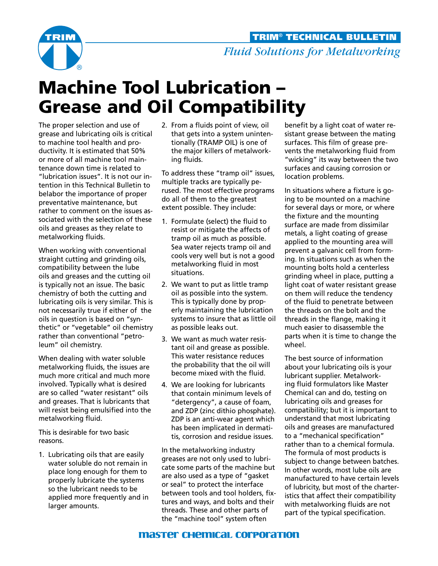

## Machine Tool Lubrication – Grease and Oil Compatibility

The proper selection and use of grease and lubricating oils is critical to machine tool health and productivity. It is estimated that 50% or more of all machine tool maintenance down time is related to "lubrication issues". It is not our intention in this Technical Bulletin to belabor the importance of proper preventative maintenance, but rather to comment on the issues associated with the selection of these oils and greases as they relate to metalworking fluids.

When working with conventional straight cutting and grinding oils, compatibility between the lube oils and greases and the cutting oil is typically not an issue. The basic chemistry of both the cutting and lubricating oils is very similar. This is not necessarily true if either of the oils in question is based on "synthetic" or "vegetable" oil chemistry rather than conventional "petroleum" oil chemistry.

When dealing with water soluble metalworking fluids, the issues are much more critical and much more involved. Typically what is desired are so called "water resistant" oils and greases. That is lubricants that will resist being emulsified into the metalworking fluid.

This is desirable for two basic reasons.

1. Lubricating oils that are easily water soluble do not remain in place long enough for them to properly lubricate the systems so the lubricant needs to be applied more frequently and in larger amounts.

2. From a fluids point of view, oil that gets into a system unintentionally (TRAMP OIL) is one of the major killers of metalworking fluids.

To address these "tramp oil" issues, multiple tracks are typically perused. The most effective programs do all of them to the greatest extent possible. They include:

- 1. Formulate (select) the fluid to resist or mitigate the affects of tramp oil as much as possible. Sea water rejects tramp oil and cools very well but is not a good metalworking fluid in most situations.
- 2. We want to put as little tramp oil as possible into the system. This is typically done by properly maintaining the lubrication systems to insure that as little oil as possible leaks out.
- 3. We want as much water resistant oil and grease as possible. This water resistance reduces the probability that the oil will become mixed with the fluid.
- 4. We are looking for lubricants that contain minimum levels of "detergency", a cause of foam, and ZDP (zinc dithio phosphate). ZDP is an anti-wear agent which has been implicated in dermatitis, corrosion and residue issues.

In the metalworking industry greases are not only used to lubricate some parts of the machine but are also used as a type of "gasket or seal" to protect the interface between tools and tool holders, fixtures and ways, and bolts and their threads. These and other parts of the "machine tool" system often

benefit by a light coat of water resistant grease between the mating surfaces. This film of grease prevents the metalworking fluid from "wicking" its way between the two surfaces and causing corrosion or location problems.

In situations where a fixture is going to be mounted on a machine for several days or more, or where the fixture and the mounting surface are made from dissimilar metals, a light coating of grease applied to the mounting area will prevent a galvanic cell from forming. In situations such as when the mounting bolts hold a centerless grinding wheel in place, putting a light coat of water resistant grease on them will reduce the tendency of the fluid to penetrate between the threads on the bolt and the threads in the flange, making it much easier to disassemble the parts when it is time to change the wheel.

The best source of information about your lubricating oils is your lubricant supplier. Metalworking fluid formulators like Master Chemical can and do, testing on lubricating oils and greases for compatibility; but it is important to understand that most lubricating oils and greases are manufactured to a "mechanical specification" rather than to a chemical formula. The formula of most products is subject to change between batches. In other words, most lube oils are manufactured to have certain levels of lubricity, but most of the charteristics that affect their compatibility with metalworking fluids are not part of the typical specification.